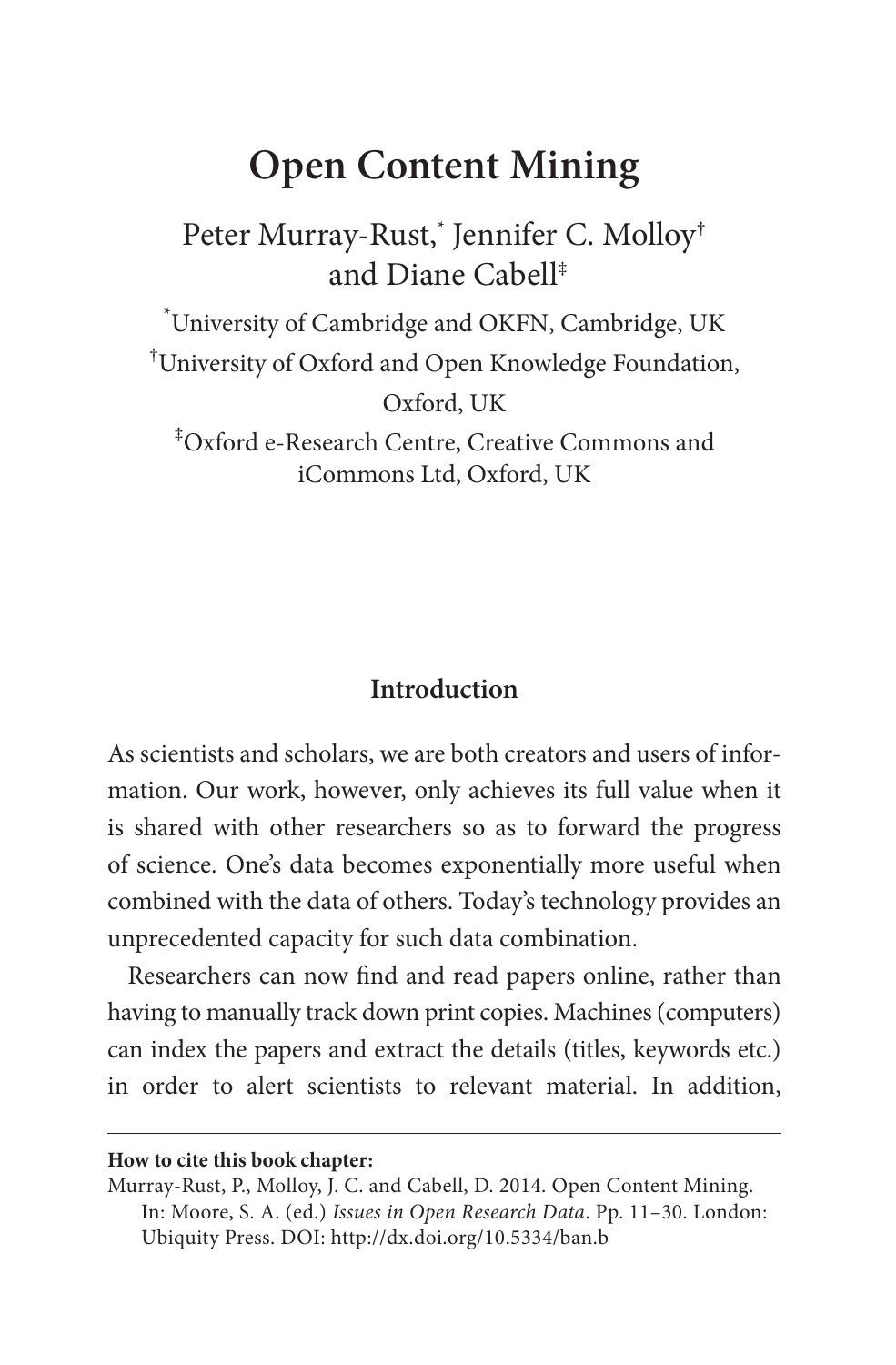# **Open Content Mining**

Peter Murray-Rust,\* Jennifer C. Molloy† and Diane Cabell‡

\* University of Cambridge and OKFN, Cambridge, UK † University of Oxford and Open Knowledge Foundation, Oxford, UK

‡ Oxford e-Research Centre, Creative Commons and iCommons Ltd, Oxford, UK

### **Introduction**

As scientists and scholars, we are both creators and users of information. Our work, however, only achieves its full value when it is shared with other researchers so as to forward the progress of science. One's data becomes exponentially more useful when combined with the data of others. Today's technology provides an unprecedented capacity for such data combination.

Researchers can now find and read papers online, rather than having to manually track down print copies. Machines (computers) can index the papers and extract the details (titles, keywords etc.) in order to alert scientists to relevant material. In addition,

#### **How to cite this book chapter:**

Murray-Rust, P., Molloy, J. C. and Cabell, D. 2014. Open Content Mining. In: Moore, S. A. (ed.) *Issues in Open Research Data*. Pp. 11–30. London: Ubiquity Press. DOI: <http://dx.doi.org/10.5334/ban.b>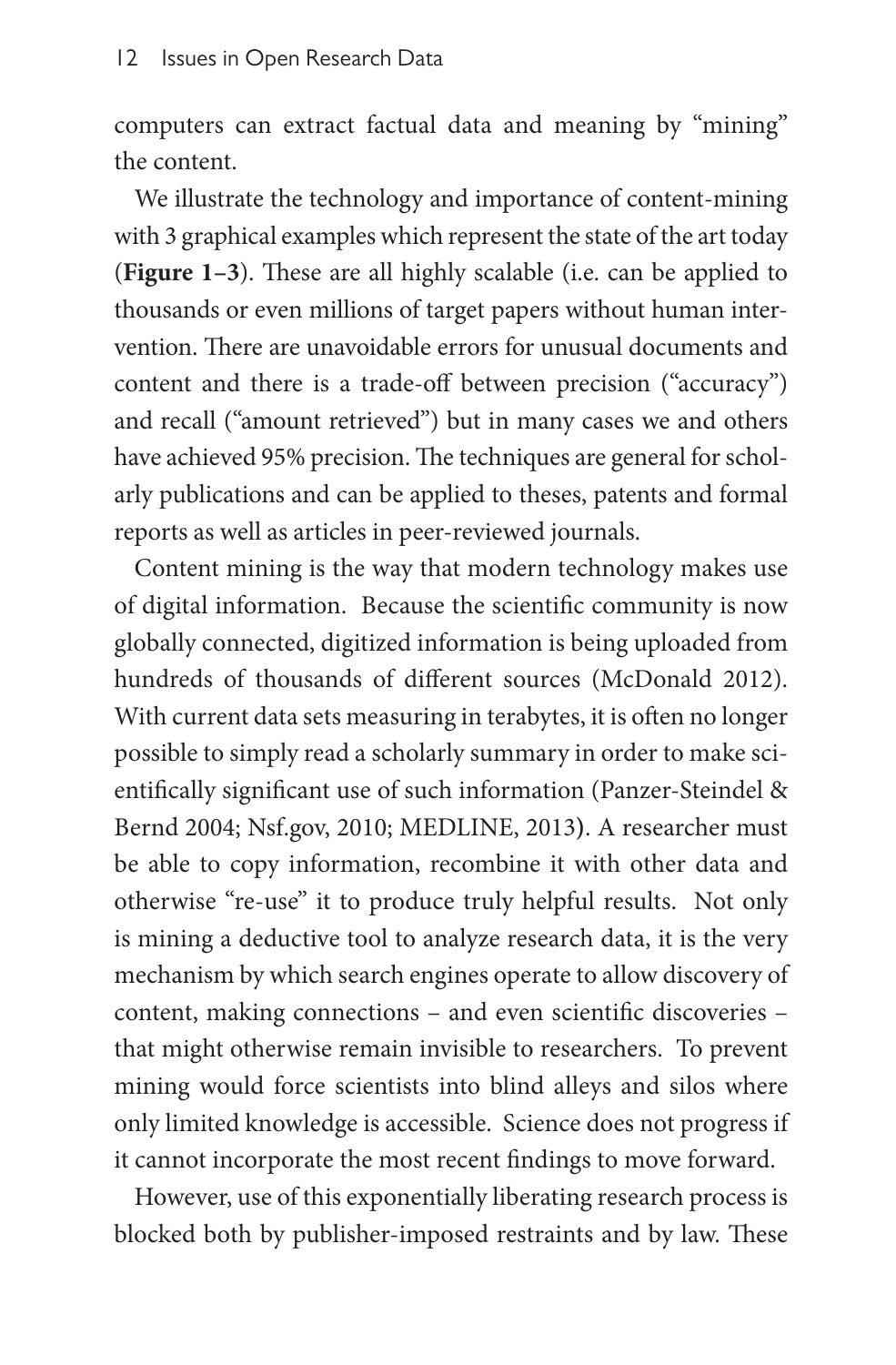computers can extract factual data and meaning by "mining" the content.

We illustrate the technology and importance of content-mining with 3 graphical examples which represent the state of the art today (**Figure 1–3**). These are all highly scalable (i.e. can be applied to thousands or even millions of target papers without human intervention. There are unavoidable errors for unusual documents and content and there is a trade-off between precision ("accuracy") and recall ("amount retrieved") but in many cases we and others have achieved 95% precision. The techniques are general for scholarly publications and can be applied to theses, patents and formal reports as well as articles in peer-reviewed journals.

Content mining is the way that modern technology makes use of digital information. Because the scientific community is now globally connected, digitized information is being uploaded from hundreds of thousands of different sources (McDonald 2012). With current data sets measuring in terabytes, it is often no longer possible to simply read a scholarly summary in order to make scientifically significant use of such information (Panzer-Steindel & Bernd 2004; [Nsf.gov,](Nsf.gov) 2010; MEDLINE, 2013**)**. A researcher must be able to copy information, recombine it with other data and otherwise "re-use" it to produce truly helpful results. Not only is mining a deductive tool to analyze research data, it is the very mechanism by which search engines operate to allow discovery of content, making connections – and even scientific discoveries – that might otherwise remain invisible to researchers. To prevent mining would force scientists into blind alleys and silos where only limited knowledge is accessible. Science does not progress if it cannot incorporate the most recent findings to move forward.

However, use of this exponentially liberating research process is blocked both by publisher-imposed restraints and by law. These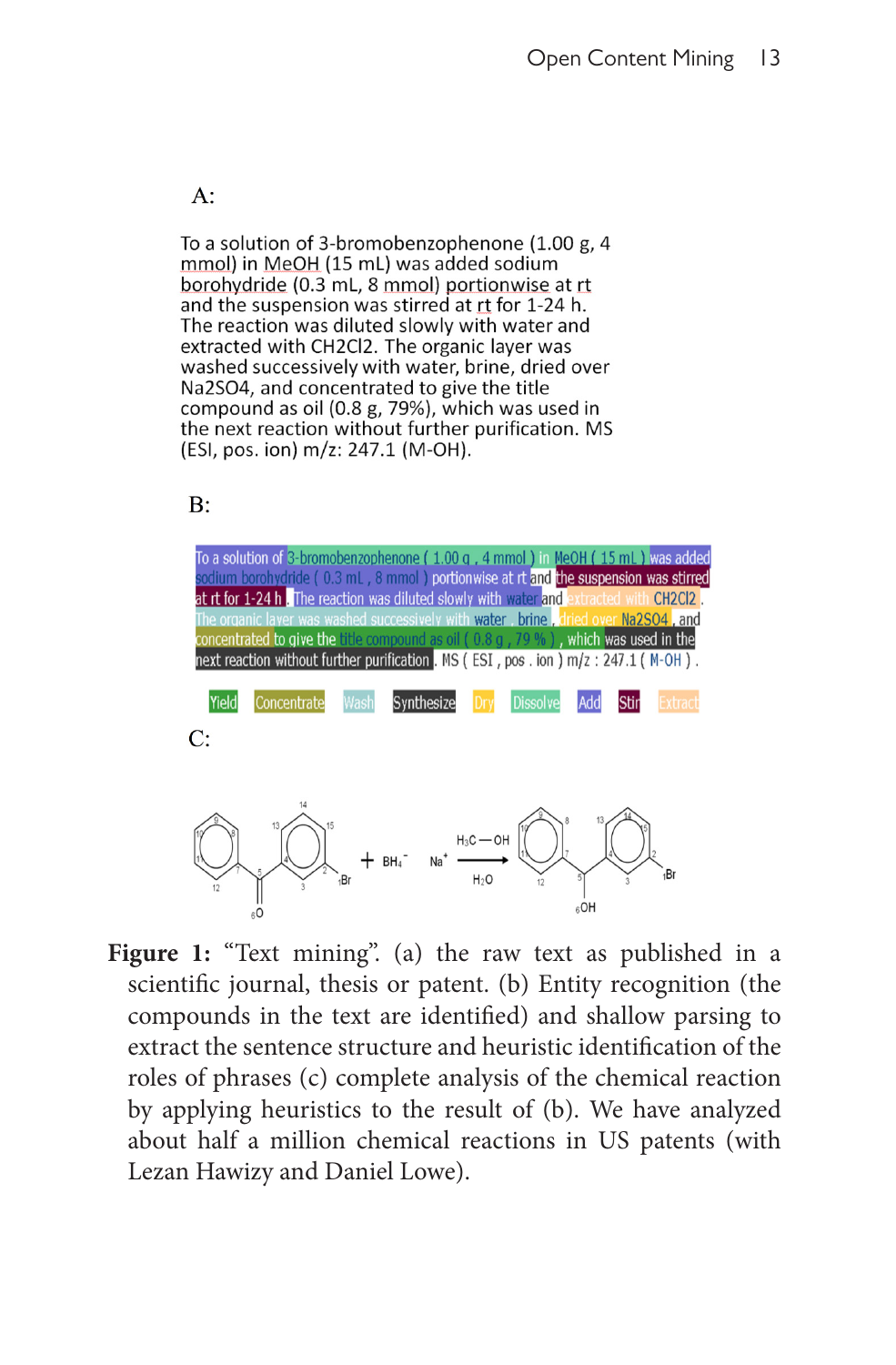$A$ :

To a solution of 3-bromobenzophenone (1.00 g, 4 mmol) in MeOH (15 mL) was added sodium borohydride (0.3 mL, 8 mmol) portionwise at rt and the suspension was stirred at rt for 1-24 h. The reaction was diluted slowly with water and extracted with CH2Cl2. The organic layer was washed successively with water, brine, dried over Na2SO4, and concentrated to give the title compound as oil (0.8 g, 79%), which was used in the next reaction without further purification. MS (ESI, pos. ion) m/z: 247.1 (M-OH).

 $B:$ 



Figure 1: "Text mining". (a) the raw text as published in a scientific journal, thesis or patent. (b) Entity recognition (the compounds in the text are identified) and shallow parsing to extract the sentence structure and heuristic identification of the roles of phrases (c) complete analysis of the chemical reaction by applying heuristics to the result of (b). We have analyzed about half a million chemical reactions in US patents (with Lezan Hawizy and Daniel Lowe).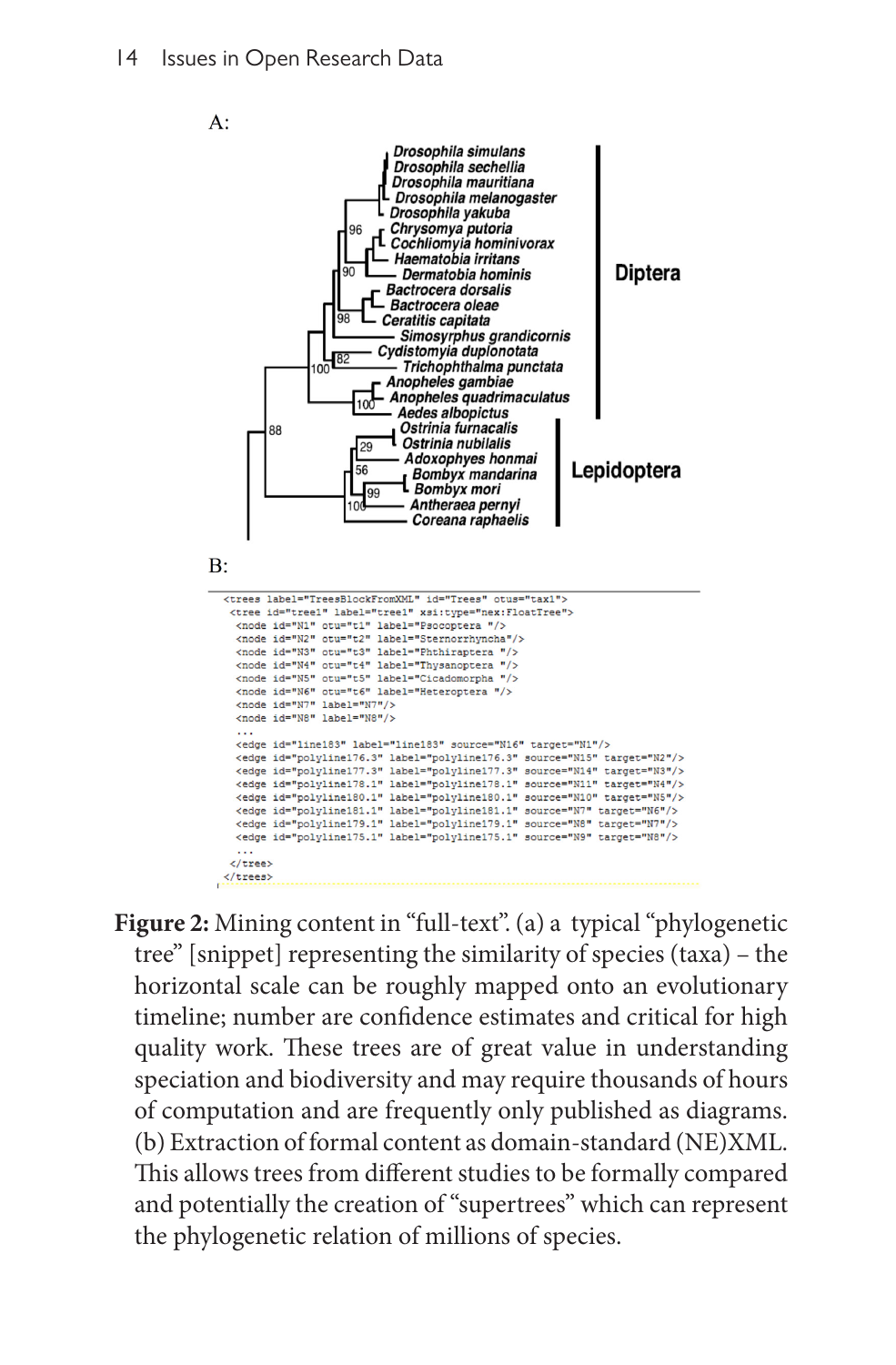

**Figure 2:** Mining content in "full-text". (a) a typical "phylogenetic tree" [snippet] representing the similarity of species (taxa) – the horizontal scale can be roughly mapped onto an evolutionary timeline; number are confidence estimates and critical for high quality work. These trees are of great value in understanding speciation and biodiversity and may require thousands of hours of computation and are frequently only published as diagrams. (b) Extraction of formal content as domain-standard (NE)XML. This allows trees from different studies to be formally compared and potentially the creation of "supertrees" which can represent the phylogenetic relation of millions of species.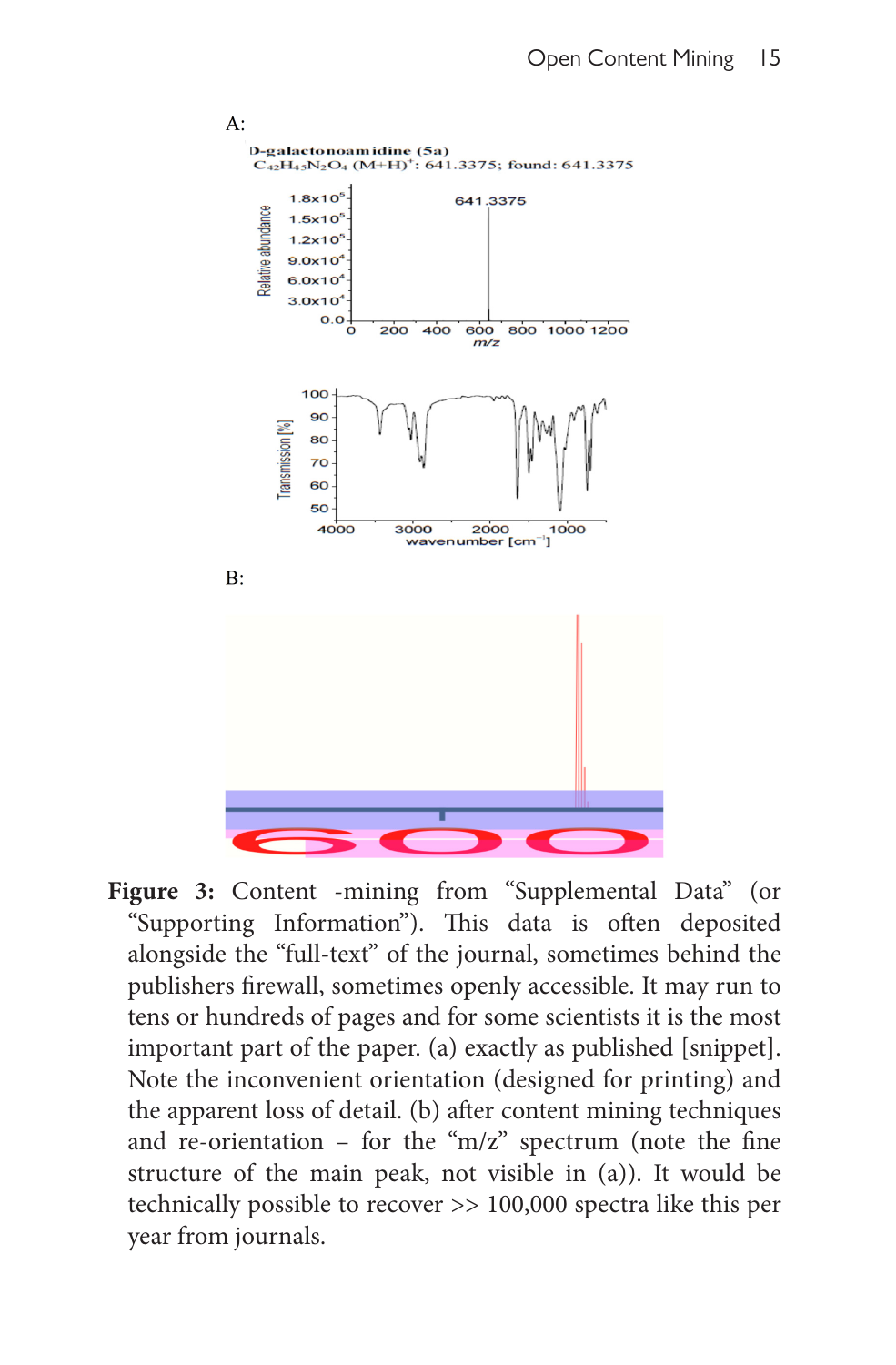

**Figure 3:** Content -mining from "Supplemental Data" (or "Supporting Information"). This data is often deposited alongside the "full-text" of the journal, sometimes behind the publishers firewall, sometimes openly accessible. It may run to tens or hundreds of pages and for some scientists it is the most important part of the paper. (a) exactly as published [snippet]. Note the inconvenient orientation (designed for printing) and the apparent loss of detail. (b) after content mining techniques and re-orientation – for the " $m/z$ " spectrum (note the fine structure of the main peak, not visible in (a)). It would be technically possible to recover >> 100,000 spectra like this per year from journals.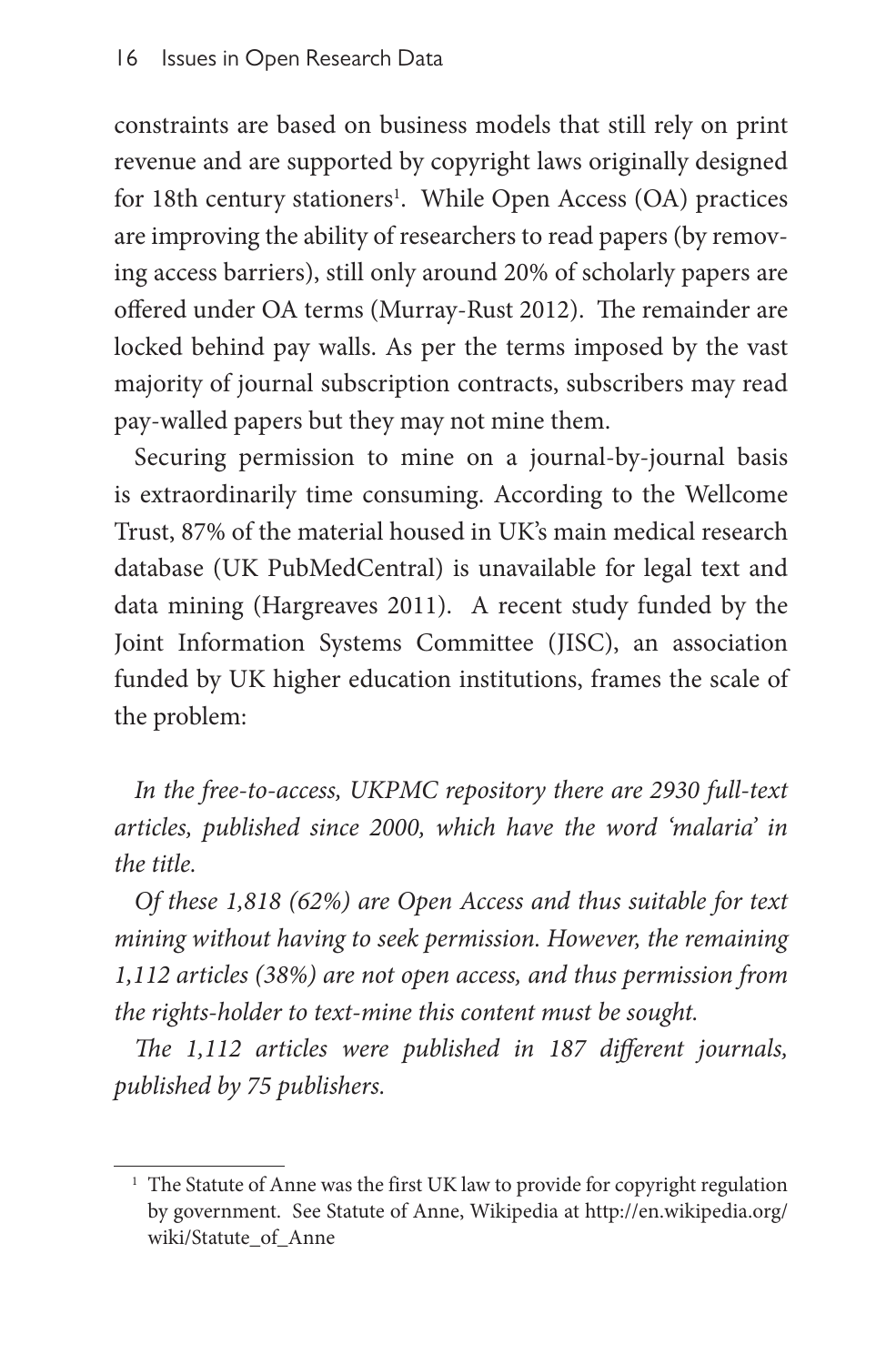constraints are based on business models that still rely on print revenue and are supported by copyright laws originally designed for 18th century stationers<sup>1</sup>. While Open Access (OA) practices are improving the ability of researchers to read papers (by removing access barriers), still only around 20% of scholarly papers are offered under OA terms (Murray-Rust 2012). The remainder are locked behind pay walls. As per the terms imposed by the vast majority of journal subscription contracts, subscribers may read pay-walled papers but they may not mine them.

Securing permission to mine on a journal-by-journal basis is extraordinarily time consuming. According to the Wellcome Trust, 87% of the material housed in UK's main medical research database (UK PubMedCentral) is unavailable for legal text and data mining (Hargreaves 2011). A recent study funded by the Joint Information Systems Committee (JISC), an association funded by UK higher education institutions, frames the scale of the problem:

*In the free-to-access, UKPMC repository there are 2930 full-text articles, published since 2000, which have the word 'malaria' in the title.*

*Of these 1,818 (62%) are Open Access and thus suitable for text mining without having to seek permission. However, the remaining 1,112 articles (38%) are not open access, and thus permission from the rights-holder to text-mine this content must be sought.*

*The 1,112 articles were published in 187 different journals, published by 75 publishers.*

<sup>&</sup>lt;sup>1</sup> The Statute of Anne was the first UK law to provide for copyright regulation by government. See Statute of Anne, Wikipedia at [http://en.wikipedia.org/](http://en.wikipedia.org/wiki/Statute_of_Anne) [wiki/Statute\\_of\\_Anne](http://en.wikipedia.org/wiki/Statute_of_Anne)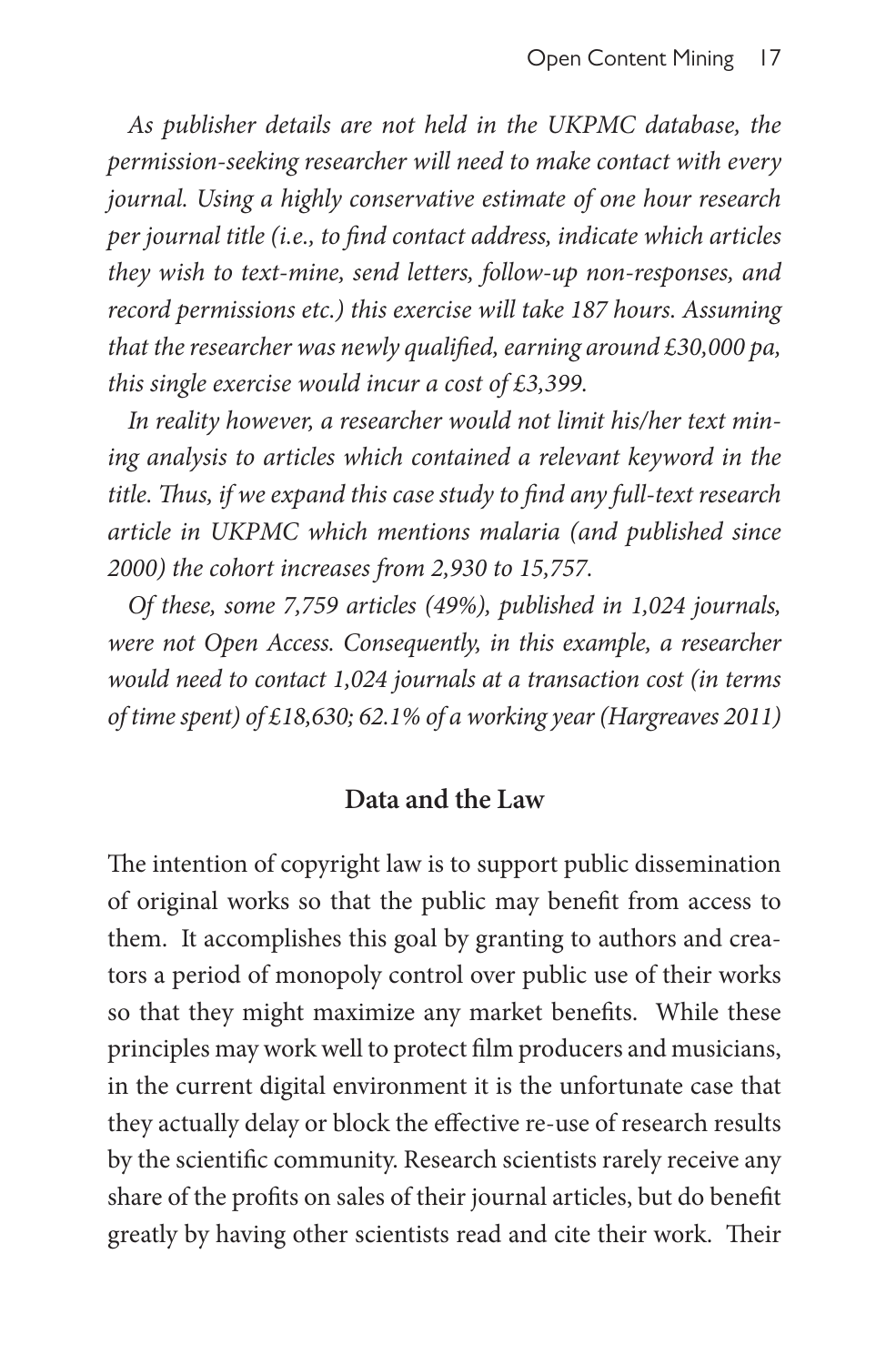*As publisher details are not held in the UKPMC database, the permission-seeking researcher will need to make contact with every journal. Using a highly conservative estimate of one hour research per journal title (i.e., to find contact address, indicate which articles they wish to text-mine, send letters, follow-up non-responses, and record permissions etc.) this exercise will take 187 hours. Assuming that the researcher was newly qualified, earning around £30,000 pa, this single exercise would incur a cost of £3,399.*

*In reality however, a researcher would not limit his/her text mining analysis to articles which contained a relevant keyword in the title. Thus, if we expand this case study to find any full-text research article in UKPMC which mentions malaria (and published since 2000) the cohort increases from 2,930 to 15,757.*

*Of these, some 7,759 articles (49%), published in 1,024 journals, were not Open Access. Consequently, in this example, a researcher would need to contact 1,024 journals at a transaction cost (in terms of time spent) of £18,630; 62.1% of a working year (Hargreaves 2011)*

#### **Data and the Law**

The intention of copyright law is to support public dissemination of original works so that the public may benefit from access to them. It accomplishes this goal by granting to authors and creators a period of monopoly control over public use of their works so that they might maximize any market benefits. While these principles may work well to protect film producers and musicians, in the current digital environment it is the unfortunate case that they actually delay or block the effective re-use of research results by the scientific community. Research scientists rarely receive any share of the profits on sales of their journal articles, but do benefit greatly by having other scientists read and cite their work. Their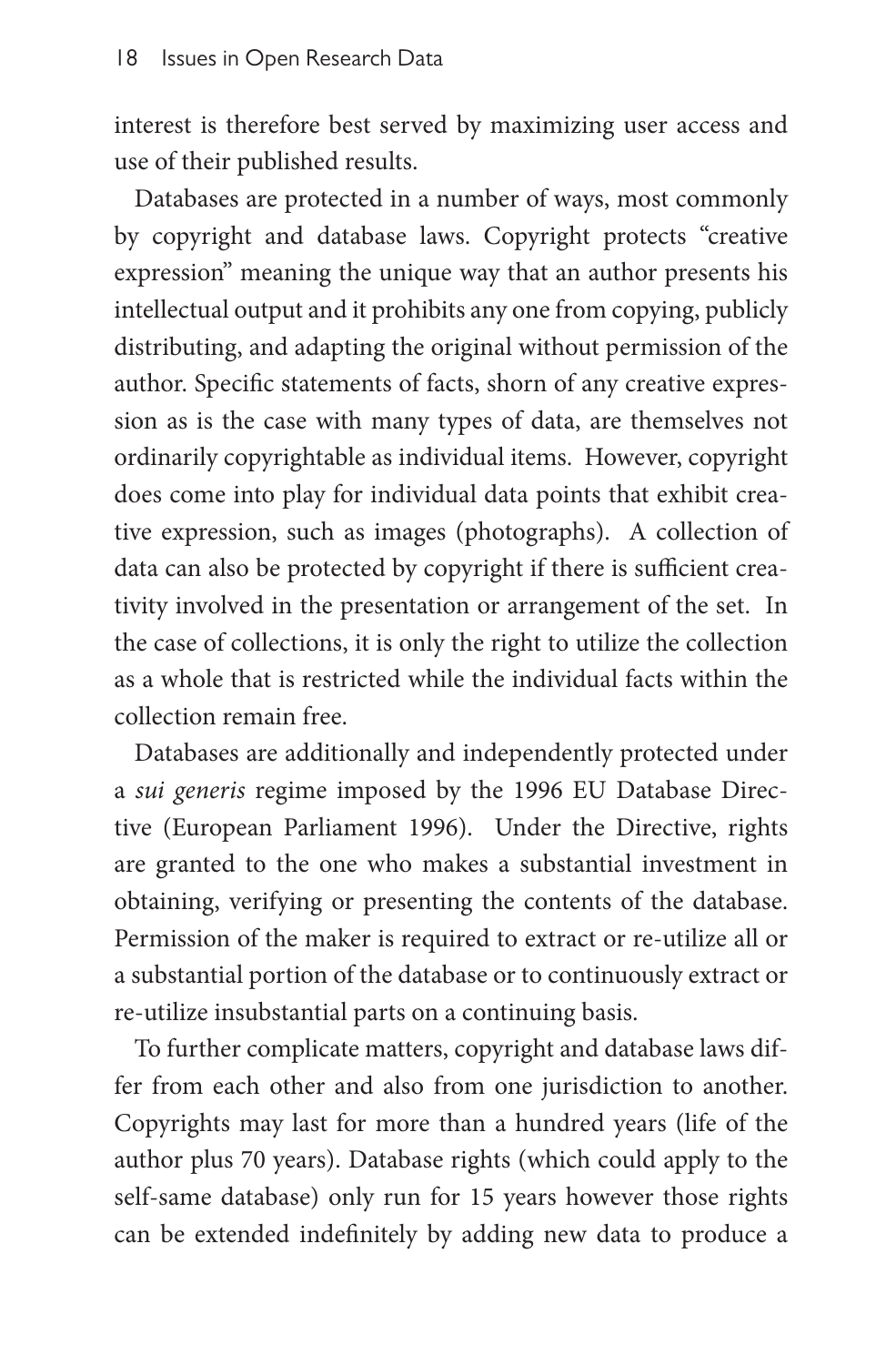interest is therefore best served by maximizing user access and use of their published results.

Databases are protected in a number of ways, most commonly by copyright and database laws. Copyright protects "creative expression" meaning the unique way that an author presents his intellectual output and it prohibits any one from copying, publicly distributing, and adapting the original without permission of the author. Specific statements of facts, shorn of any creative expression as is the case with many types of data, are themselves not ordinarily copyrightable as individual items. However, copyright does come into play for individual data points that exhibit creative expression, such as images (photographs). A collection of data can also be protected by copyright if there is sufficient creativity involved in the presentation or arrangement of the set. In the case of collections, it is only the right to utilize the collection as a whole that is restricted while the individual facts within the collection remain free.

Databases are additionally and independently protected under a *sui generis* regime imposed by the 1996 EU Database Directive (European Parliament 1996). Under the Directive, rights are granted to the one who makes a substantial investment in obtaining, verifying or presenting the contents of the database. Permission of the maker is required to extract or re-utilize all or a substantial portion of the database or to continuously extract or re-utilize insubstantial parts on a continuing basis.

To further complicate matters, copyright and database laws differ from each other and also from one jurisdiction to another. Copyrights may last for more than a hundred years (life of the author plus 70 years). Database rights (which could apply to the self-same database) only run for 15 years however those rights can be extended indefinitely by adding new data to produce a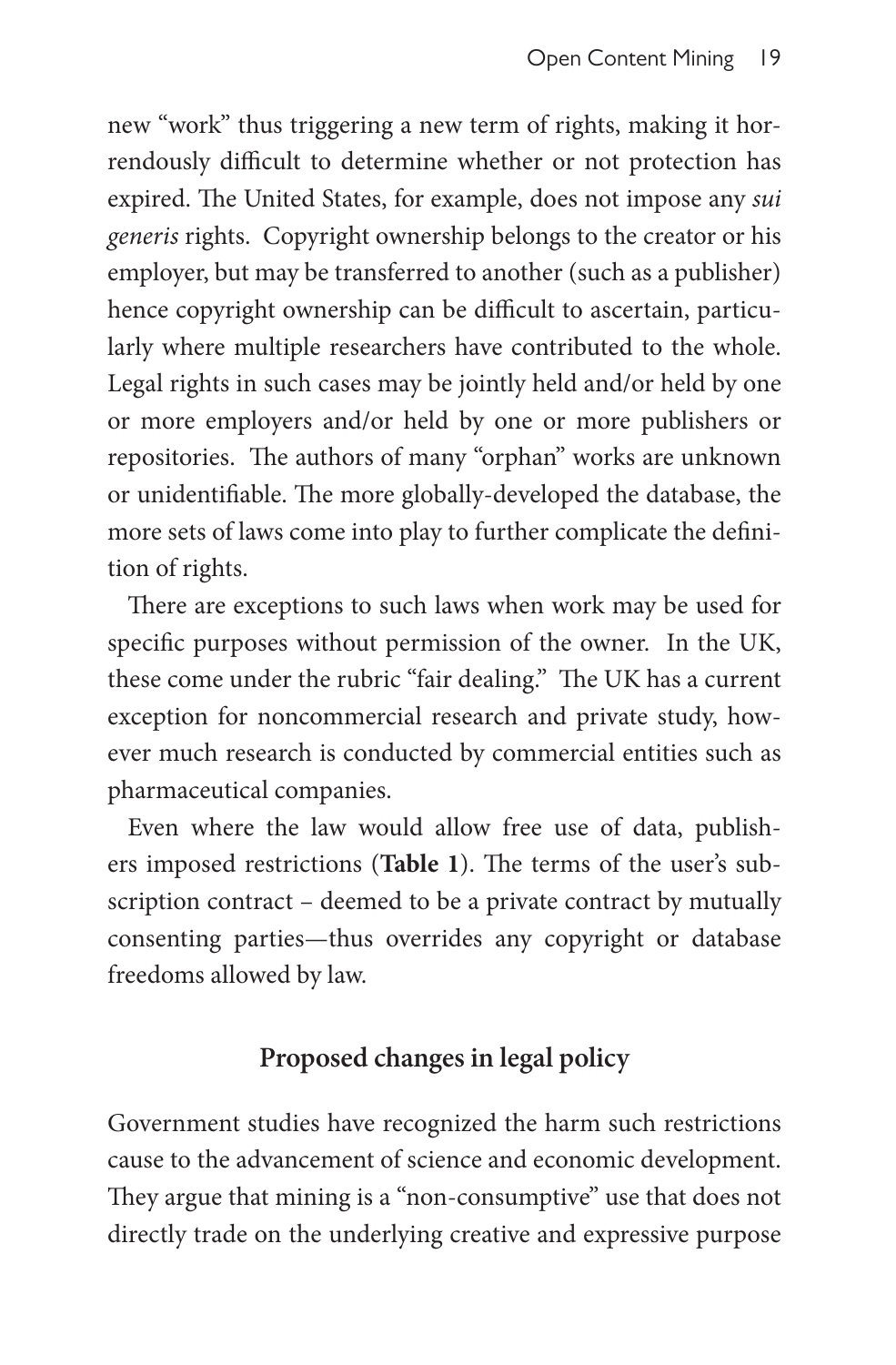new "work" thus triggering a new term of rights, making it horrendously difficult to determine whether or not protection has expired. The United States, for example, does not impose any *sui generis* rights. Copyright ownership belongs to the creator or his employer, but may be transferred to another (such as a publisher) hence copyright ownership can be difficult to ascertain, particularly where multiple researchers have contributed to the whole. Legal rights in such cases may be jointly held and/or held by one or more employers and/or held by one or more publishers or repositories. The authors of many "orphan" works are unknown or unidentifiable. The more globally-developed the database, the more sets of laws come into play to further complicate the definition of rights.

There are exceptions to such laws when work may be used for specific purposes without permission of the owner. In the UK, these come under the rubric "fair dealing." The UK has a current exception for noncommercial research and private study, however much research is conducted by commercial entities such as pharmaceutical companies.

Even where the law would allow free use of data, publishers imposed restrictions (**Table 1**). The terms of the user's subscription contract – deemed to be a private contract by mutually consenting parties—thus overrides any copyright or database freedoms allowed by law.

## **Proposed changes in legal policy**

Government studies have recognized the harm such restrictions cause to the advancement of science and economic development. They argue that mining is a "non-consumptive" use that does not directly trade on the underlying creative and expressive purpose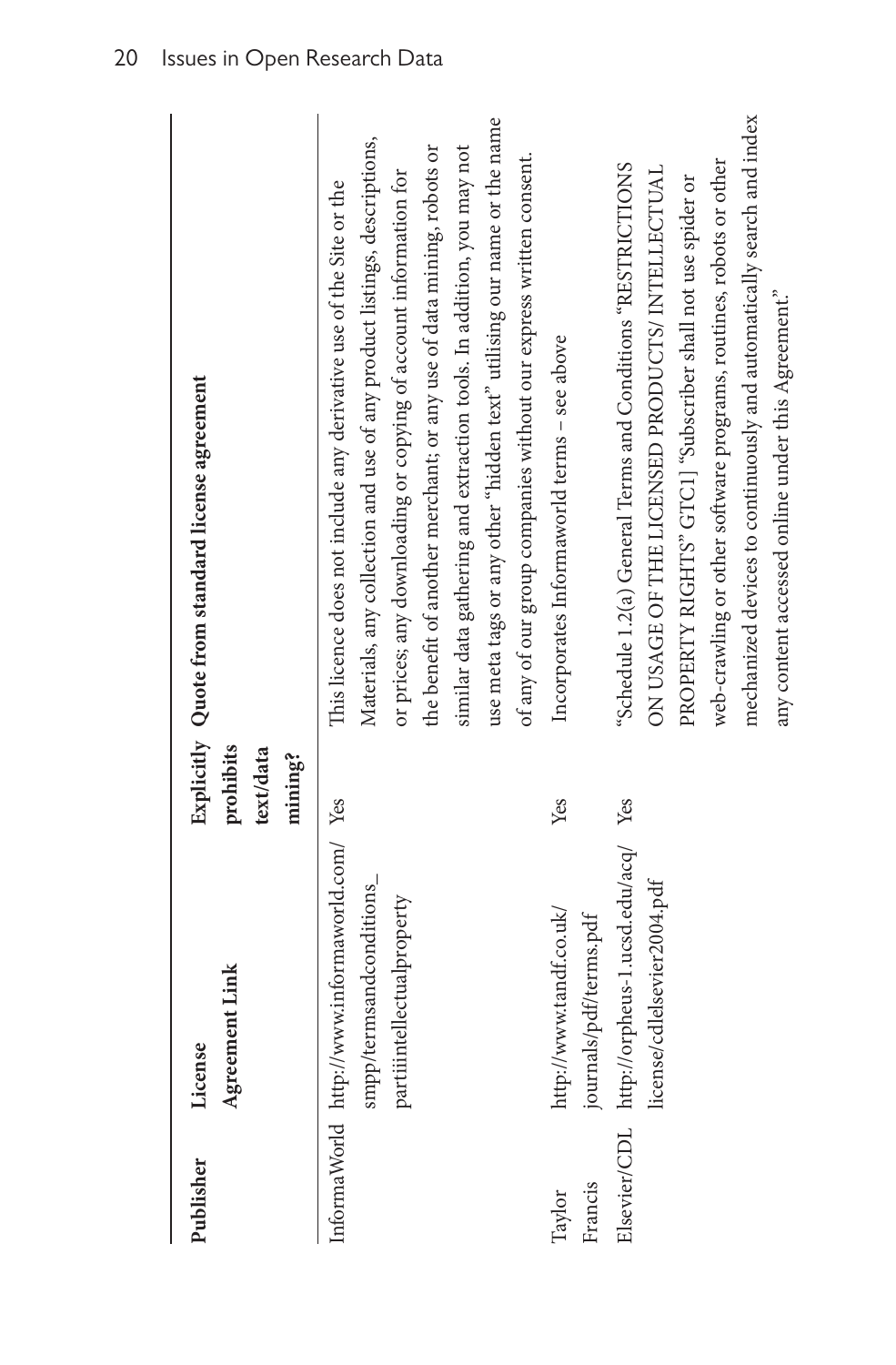| Publisher         | Agreement Link<br>License                                                                                                           | prohibits<br>text/data<br>mining? | Explicitly Quote from standard license agreement                                                                                                                                                                                                                                                                                                                                                                                                                                                                       |
|-------------------|-------------------------------------------------------------------------------------------------------------------------------------|-----------------------------------|------------------------------------------------------------------------------------------------------------------------------------------------------------------------------------------------------------------------------------------------------------------------------------------------------------------------------------------------------------------------------------------------------------------------------------------------------------------------------------------------------------------------|
|                   | InformaWorld http://www.informaworld.com/ Yes<br>smpp/termsandconditions_<br>partiintellectualproperty                              |                                   | use meta tags or any other "hidden text" utilising our name or the name<br>Materials, any collection and use of any product listings, descriptions,<br>similar data gathering and extraction tools. In addition, you may not<br>the benefit of another merchant; or any use of data mining, robots or<br>of any of our group companies without our express written consent.<br>or prices; any downloading or copying of account information for<br>This licence does not include any derivative use of the Site or the |
| Francis<br>Taylor | Elsevier/CDL http://orpheus-1.ucsd.edu/acq/ Yes<br>license/cdlelsevier2004.pdf<br>http://www.tandf.co.uk/<br>journals/pdf/terms.pdf | Yes                               | mechanized devices to continuously and automatically search and index<br>web-crawling or other software programs, routines, robots or other<br>"Schedule 1.2(a) General Terms and Conditions "RESTRICTIONS<br>ON USAGE OF THE LICENSED PRODUCTS/ INTELLECTUAL<br>PROPERTY RIGHTS" GTC1] "Subscriber shall not use spider or<br>Incorporates Informaworld terms - see above                                                                                                                                             |

any content accessed online under this Agreement."

any content accessed online under this Agreement."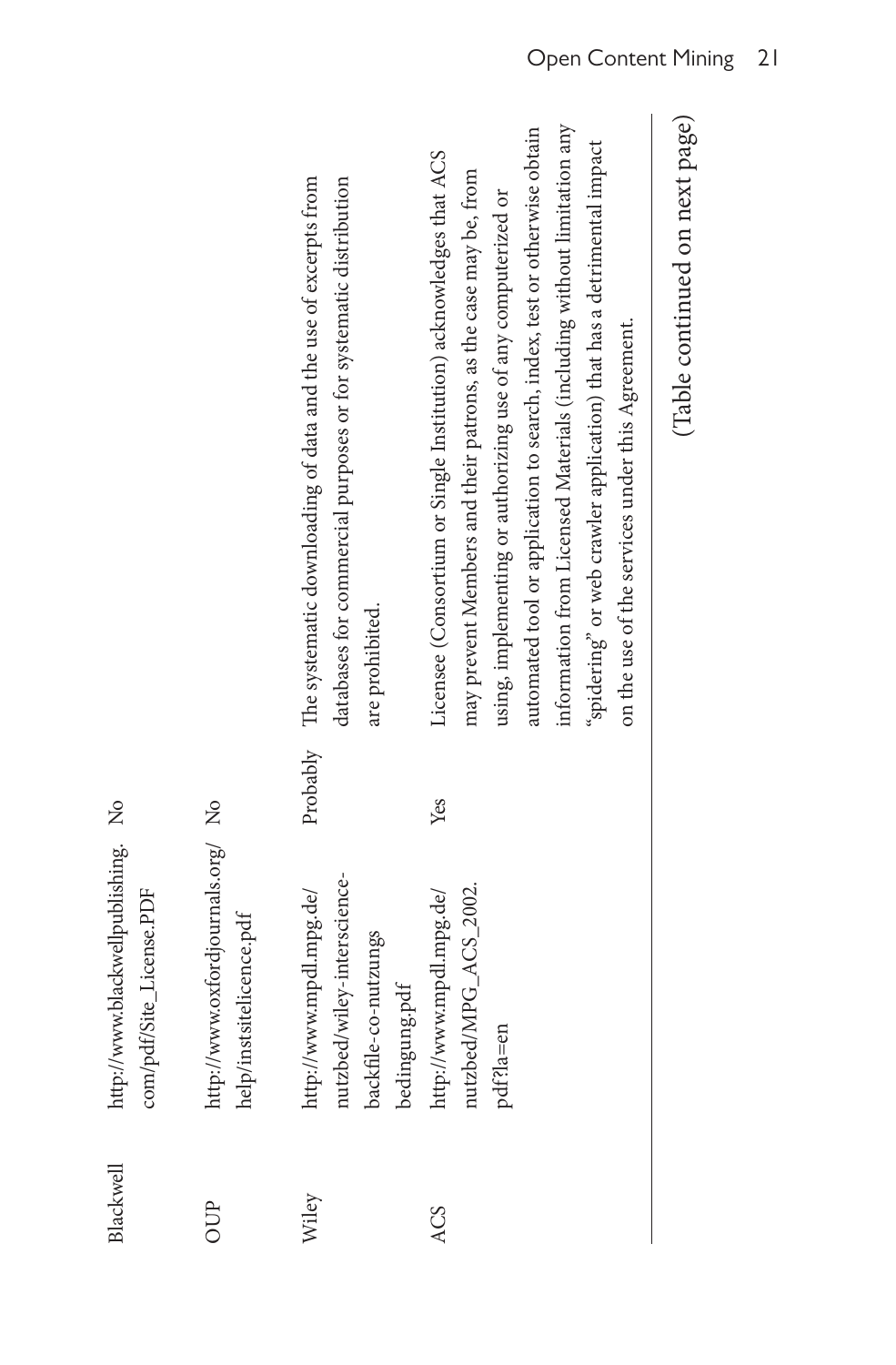| OUP   | http://www.oxfordjournals.org/ No<br>help/instsitelicence.pdf                                   |     |                                                                                                                                                                                                                                                                                                                                                                                                                                                                                         |
|-------|-------------------------------------------------------------------------------------------------|-----|-----------------------------------------------------------------------------------------------------------------------------------------------------------------------------------------------------------------------------------------------------------------------------------------------------------------------------------------------------------------------------------------------------------------------------------------------------------------------------------------|
| Wiley | nutzbed/wiley-interscience-<br>http://www.mpdl.mpg.de/<br>backfile-co-nutzungs<br>bedingung.pdf |     | Probably The systematic downloading of data and the use of excerpts from<br>databases for commercial purposes or for systematic distribution<br>are prohibited.                                                                                                                                                                                                                                                                                                                         |
| ACS   | nutzbed/MPG_ACS_2002.<br>http://www.mpdl.mpg.de/<br>pdf?la=en                                   | Yes | information from Licensed Materials (including without limitation any<br>automated tool or application to search, index, test or otherwise obtain<br>"spidering" or web crawler application) that has a detrimental impact<br>Licensee (Consortium or Single Institution) acknowledges that ACS<br>may prevent Members and their patrons, as the case may be, from<br>using, implementing or authorizing use of any computerized or<br>on the use of the services under this Agreement. |
|       |                                                                                                 |     |                                                                                                                                                                                                                                                                                                                                                                                                                                                                                         |

Blackwell [http://www.blackwellpublishing.](http://www.black​­wellpublishing.com/pdf/Site_License.PDF)

Blackwell

http://www.blackwellpublishing. No

[com/pdf/Site\\_License.PDF](http://www.black​­wellpublishing.com/pdf/Site_License.PDF)

com/pdf/Site\_License.PDF

(Table continued on next page) (Table continued on next page)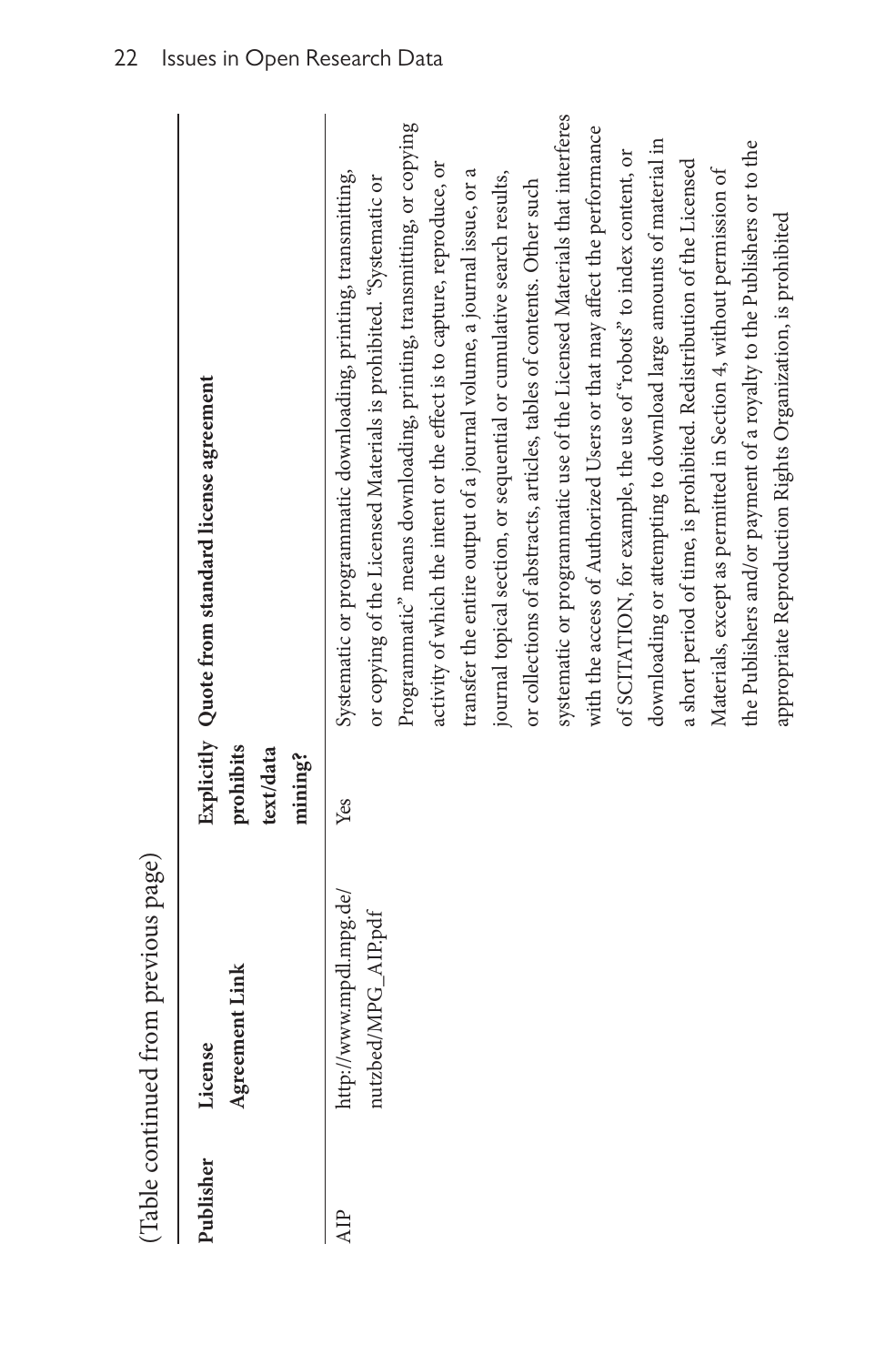| へんへん                 |
|----------------------|
| -----------          |
| $\ddot{\phantom{a}}$ |
| Ĩ<br>くくさんきょう         |
|                      |

| Publisher  | Agreement Link<br>License                      | prohibits<br>text/data<br>mining? | Explicitly Quote from standard license agreement                                                                                                                                                                                                                                                                                                                                                                                                                                                                                                                                                                                                                                                                                                                                                                                                                                                                                                                                                                                                                                                             |
|------------|------------------------------------------------|-----------------------------------|--------------------------------------------------------------------------------------------------------------------------------------------------------------------------------------------------------------------------------------------------------------------------------------------------------------------------------------------------------------------------------------------------------------------------------------------------------------------------------------------------------------------------------------------------------------------------------------------------------------------------------------------------------------------------------------------------------------------------------------------------------------------------------------------------------------------------------------------------------------------------------------------------------------------------------------------------------------------------------------------------------------------------------------------------------------------------------------------------------------|
| <b>AIP</b> | http://www.mpdl.mpg.de/<br>nutzbed/MPG_AIP.pdf | Yes                               | systematic or programmatic use of the Licensed Materials that interferes<br>Programmatic" means downloading, printing, transmitting, or copying<br>with the access of Authorized Users or that may affect the performance<br>downloading or attempting to download large amounts of material in<br>the Publishers and/or payment of a royalty to the Publishers or to the<br>of SCITATION, for example, the use of "robots" to index content, or<br>a short period of time, is prohibited. Redistribution of the Licensed<br>activity of which the intent or the effect is to capture, reproduce, or<br>Materials, except as permitted in Section 4, without permission of<br>transfer the entire output of a journal volume, a journal issue, or a<br>Systematic or programmatic downloading, printing, transmitting,<br>journal topical section, or sequential or cumulative search results,<br>or copying of the Licensed Materials is prohibited. "Systematic or<br>or collections of abstracts, articles, tables of contents. Other such<br>appropriate Reproduction Rights Organization, is prohibited |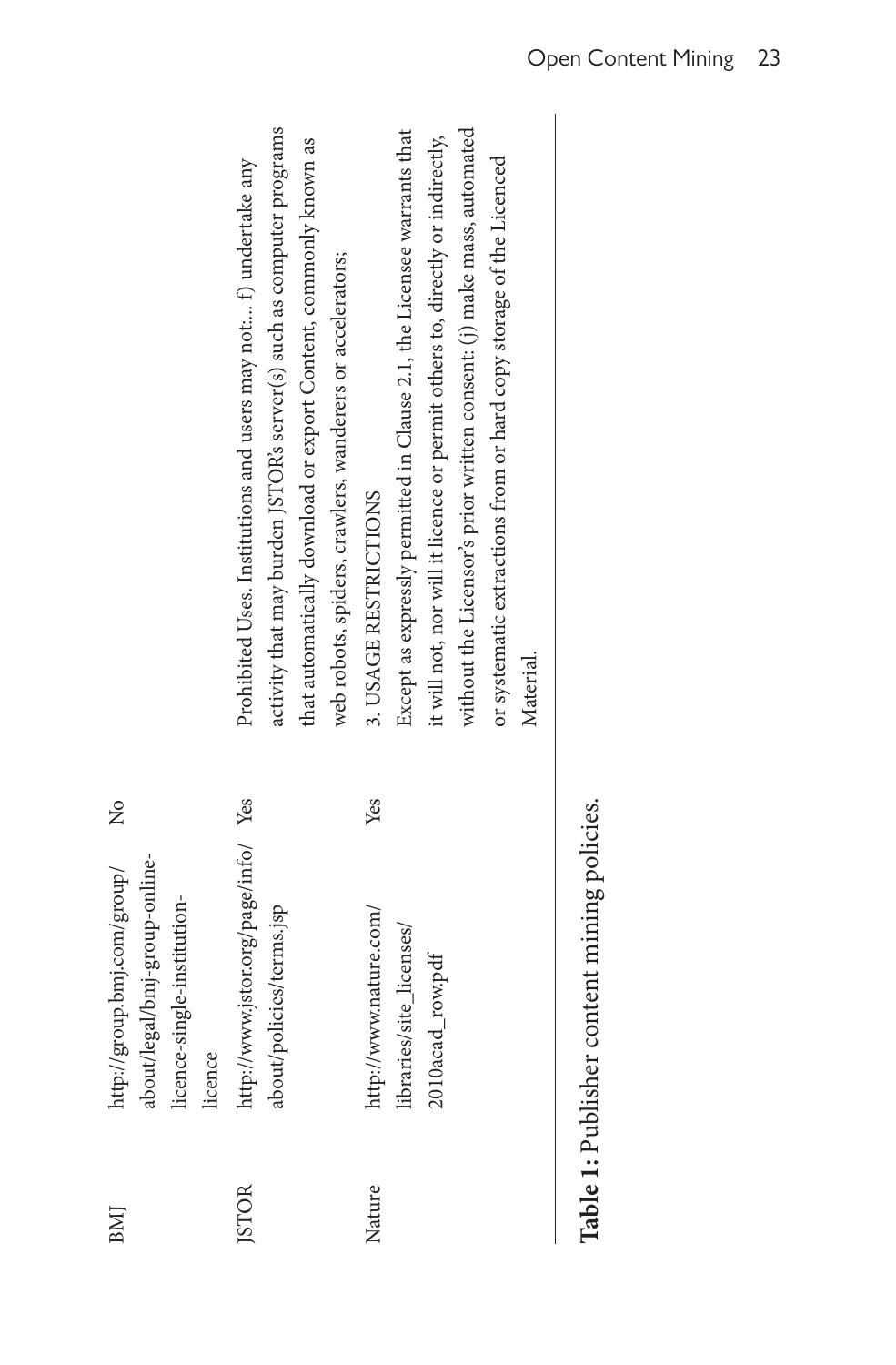| BMI          | http://group.bmj.com/group/<br>about/legal/bmj-group-online-<br>licence-single-institution-<br>licence | $\frac{1}{2}$ |                                                                                                                                                                                                                                                                                                                                                 |
|--------------|--------------------------------------------------------------------------------------------------------|---------------|-------------------------------------------------------------------------------------------------------------------------------------------------------------------------------------------------------------------------------------------------------------------------------------------------------------------------------------------------|
| <b>JSTOR</b> | http://www.jstor.org/page/info/ Yes<br>about/policies/terms.jsp                                        |               | activity that may burden JSTOR's server(s) such as computer programs<br>that automatically download or export Content, commonly known as<br>Prohibited Uses. Institutions and users may not: f) undertake any<br>web robots, spiders, crawlers, wanderers or accelerators;                                                                      |
| Nature       | http://www.nature.com/<br>libraries/site_licenses/<br>2010acad_row.pdf                                 | Yes           | without the Licensor's prior written consent: (j) make mass, automated<br>Except as expressly permitted in Clause 2.1, the Licensee warrants that<br>it will not, nor will it licence or permit others to, directly or indirectly,<br>or systematic extractions from or hard copy storage of the Licenced<br>3. USAGE RESTRICTIONS<br>Material. |

Table 1: Publisher content mining policies. **Table 1:** Publisher content mining policies.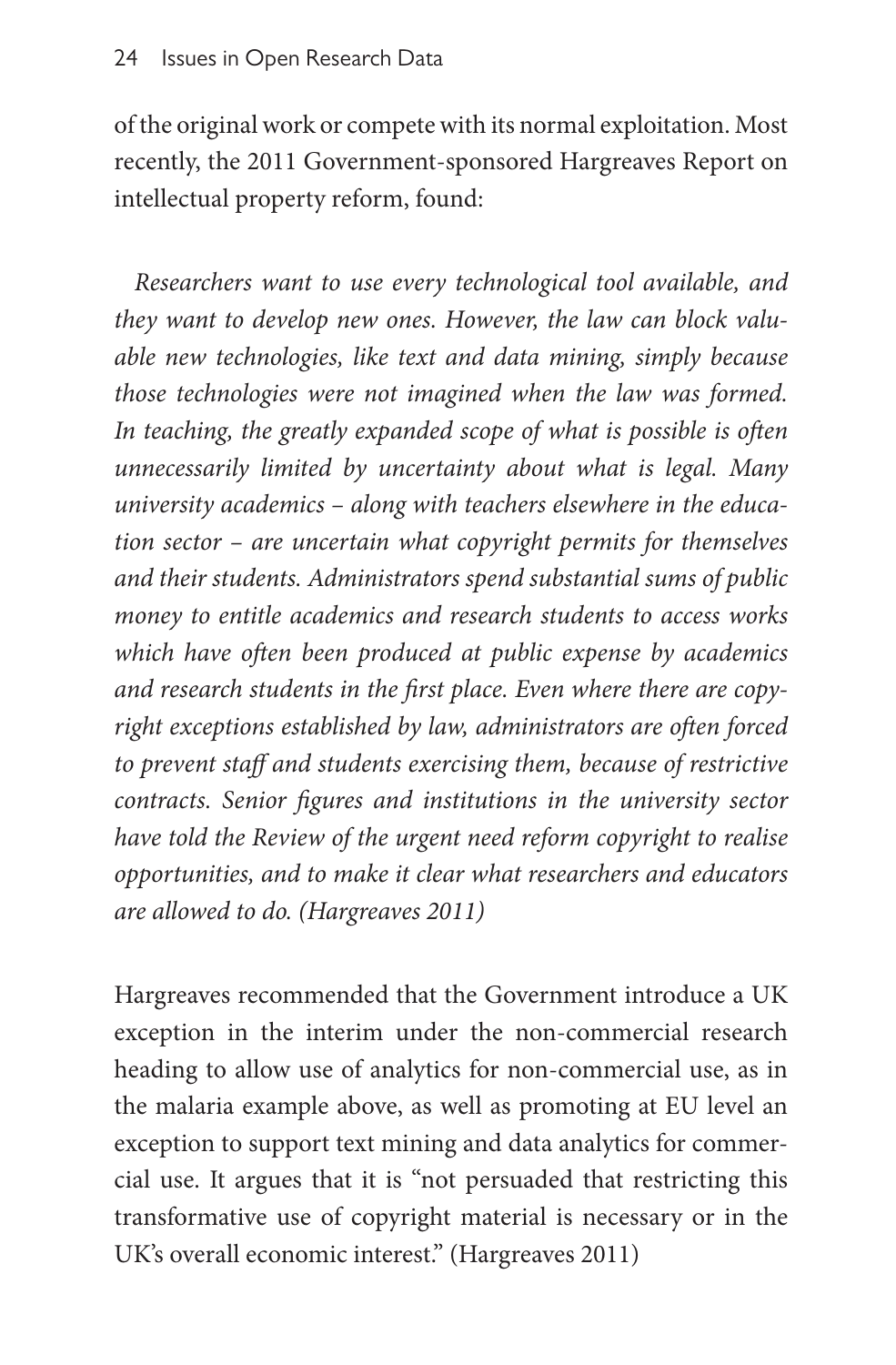of the original work or compete with its normal exploitation. Most recently, the 2011 Government-sponsored Hargreaves Report on intellectual property reform, found:

*Researchers want to use every technological tool available, and they want to develop new ones. However, the law can block valuable new technologies, like text and data mining, simply because those technologies were not imagined when the law was formed. In teaching, the greatly expanded scope of what is possible is often unnecessarily limited by uncertainty about what is legal. Many university academics – along with teachers elsewhere in the education sector – are uncertain what copyright permits for themselves and their students. Administrators spend substantial sums of public money to entitle academics and research students to access works which have often been produced at public expense by academics and research students in the first place. Even where there are copyright exceptions established by law, administrators are often forced to prevent staff and students exercising them, because of restrictive contracts. Senior figures and institutions in the university sector have told the Review of the urgent need reform copyright to realise opportunities, and to make it clear what researchers and educators are allowed to do. (Hargreaves 2011)*

Hargreaves recommended that the Government introduce a UK exception in the interim under the non-commercial research heading to allow use of analytics for non-commercial use, as in the malaria example above, as well as promoting at EU level an exception to support text mining and data analytics for commercial use. It argues that it is "not persuaded that restricting this transformative use of copyright material is necessary or in the UK's overall economic interest." (Hargreaves 2011)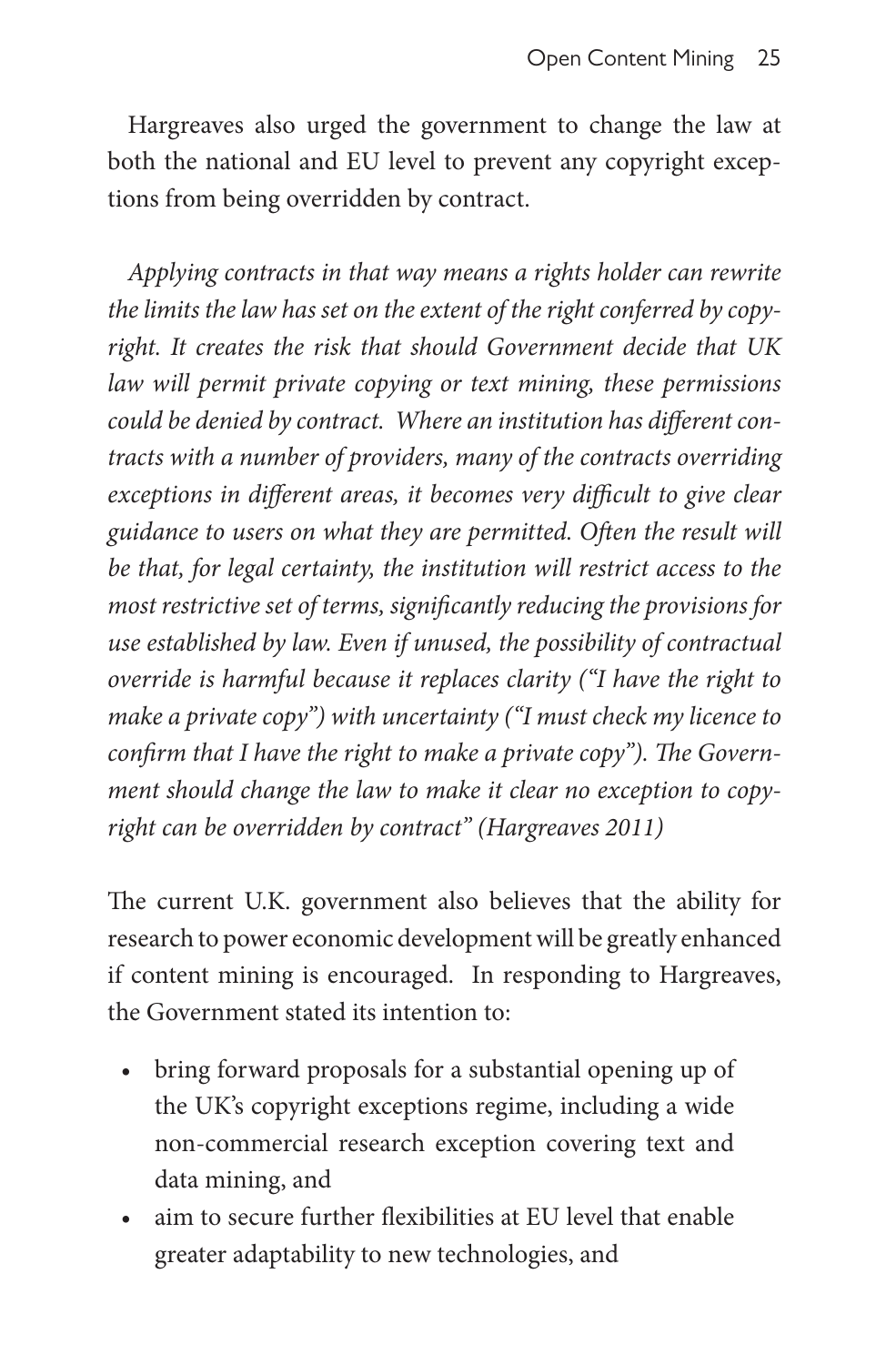Hargreaves also urged the government to change the law at both the national and EU level to prevent any copyright exceptions from being overridden by contract.

*Applying contracts in that way means a rights holder can rewrite the limits the law has set on the extent of the right conferred by copyright. It creates the risk that should Government decide that UK law will permit private copying or text mining, these permissions could be denied by contract. Where an institution has different contracts with a number of providers, many of the contracts overriding exceptions in different areas, it becomes very difficult to give clear guidance to users on what they are permitted. Often the result will be that, for legal certainty, the institution will restrict access to the most restrictive set of terms, significantly reducing the provisions for use established by law. Even if unused, the possibility of contractual override is harmful because it replaces clarity ("I have the right to make a private copy") with uncertainty ("I must check my licence to confirm that I have the right to make a private copy"). The Government should change the law to make it clear no exception to copyright can be overridden by contract" (Hargreaves 2011)*

The current U.K. government also believes that the ability for research to power economic development will be greatly enhanced if content mining is encouraged. In responding to Hargreaves, the Government stated its intention to:

- bring forward proposals for a substantial opening up of the UK's copyright exceptions regime, including a wide non-commercial research exception covering text and data mining, and
- aim to secure further flexibilities at EU level that enable greater adaptability to new technologies, and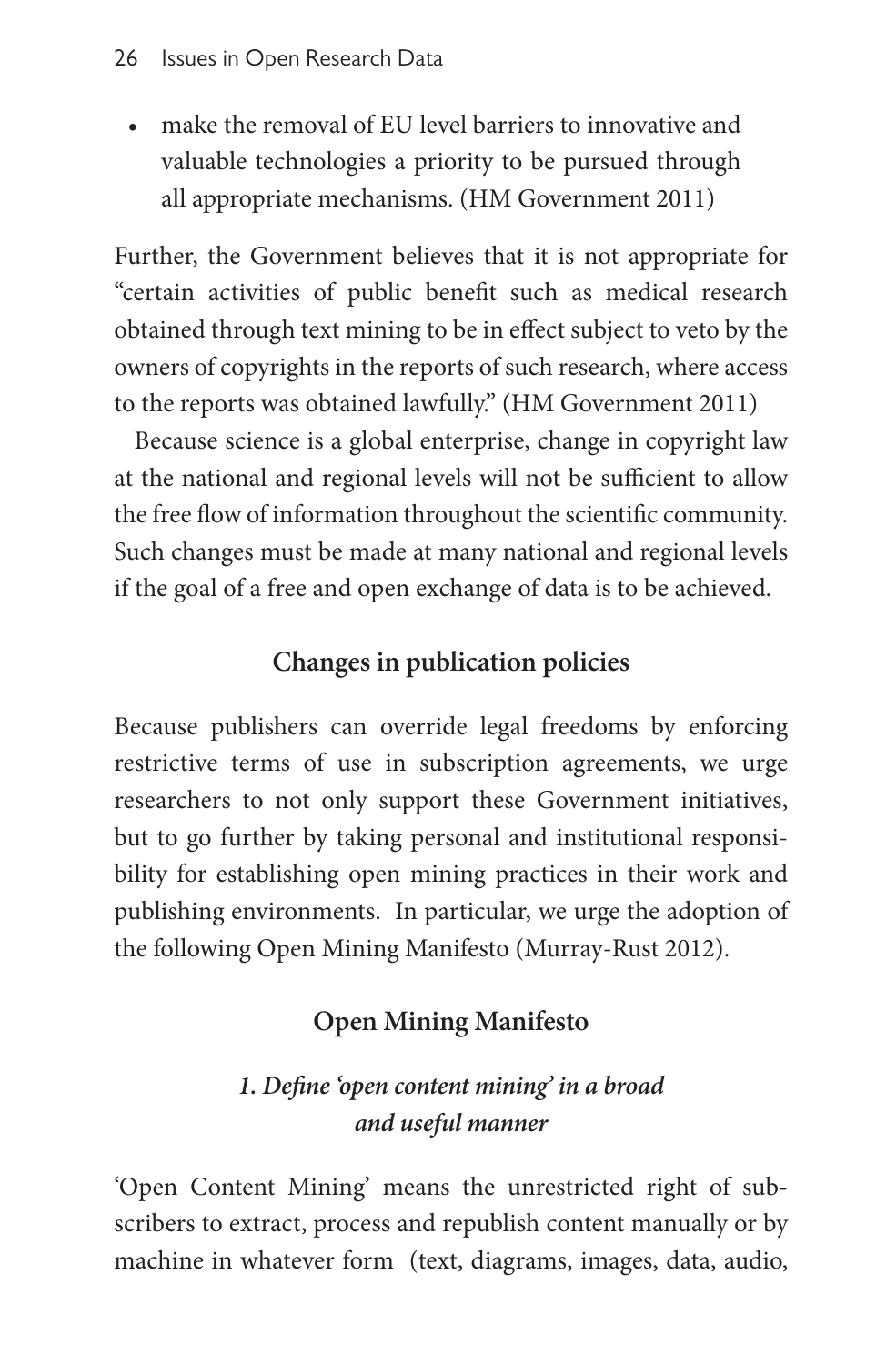• make the removal of EU level barriers to innovative and valuable technologies a priority to be pursued through all appropriate mechanisms. (HM Government 2011)

Further, the Government believes that it is not appropriate for "certain activities of public benefit such as medical research obtained through text mining to be in effect subject to veto by the owners of copyrights in the reports of such research, where access to the reports was obtained lawfully." (HM Government 2011)

Because science is a global enterprise, change in copyright law at the national and regional levels will not be sufficient to allow the free flow of information throughout the scientific community. Such changes must be made at many national and regional levels if the goal of a free and open exchange of data is to be achieved.

# **Changes in publication policies**

Because publishers can override legal freedoms by enforcing restrictive terms of use in subscription agreements, we urge researchers to not only support these Government initiatives, but to go further by taking personal and institutional responsibility for establishing open mining practices in their work and publishing environments. In particular, we urge the adoption of the following Open Mining Manifesto (Murray-Rust 2012).

# **Open Mining Manifesto**

# *1. Define 'open content mining' in a broad and useful manner*

'Open Content Mining' means the unrestricted right of subscribers to extract, process and republish content manually or by machine in whatever form (text, diagrams, images, data, audio,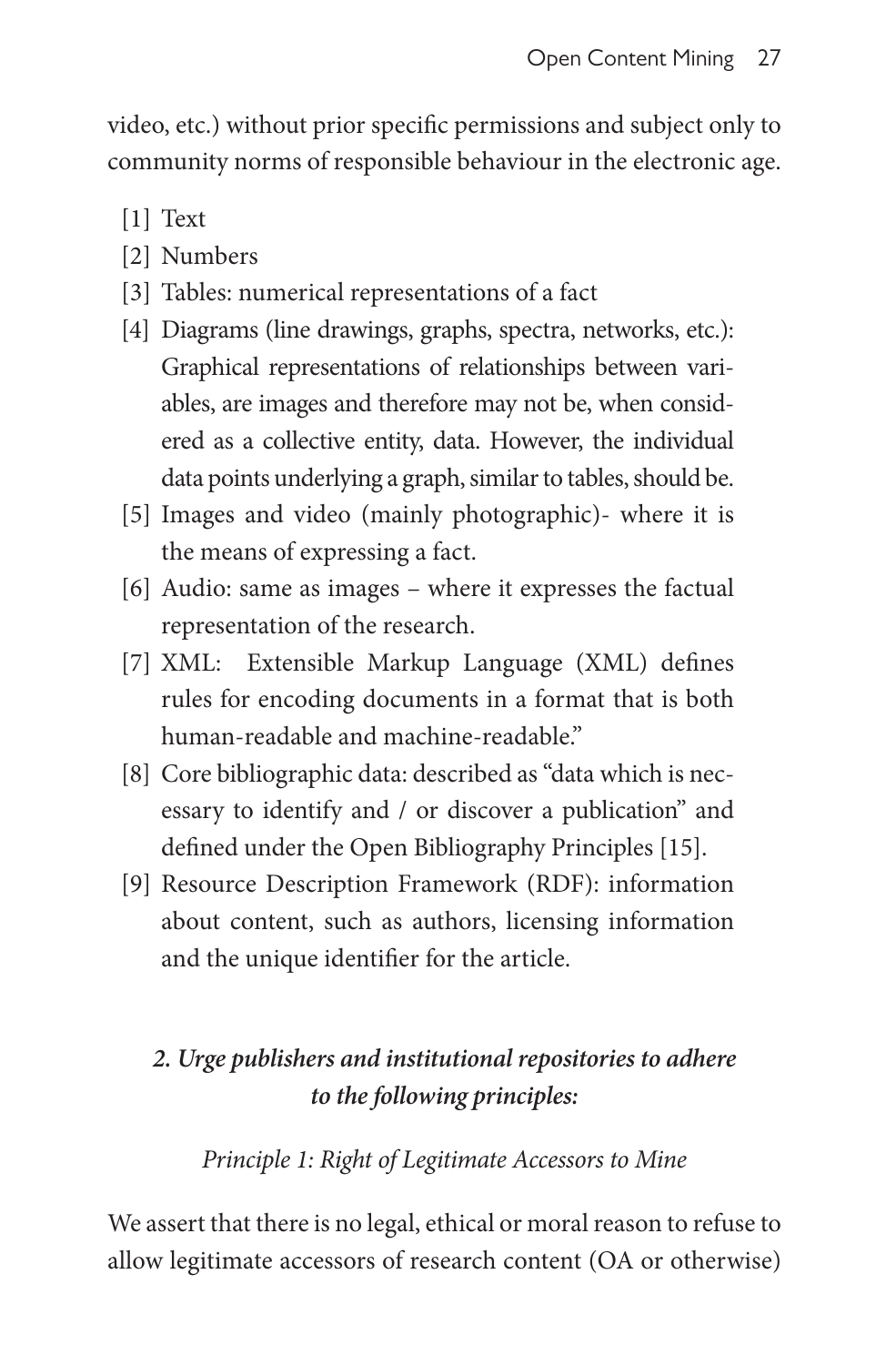video, etc.) without prior specific permissions and subject only to community norms of responsible behaviour in the electronic age.

- [1] Text
- [2] Numbers
- [3] Tables: numerical representations of a fact
- [4] Diagrams (line drawings, graphs, spectra, networks, etc.): Graphical representations of relationships between variables, are images and therefore may not be, when considered as a collective entity, data. However, the individual data points underlying a graph, similar to tables, should be.
- [5] Images and video (mainly photographic)- where it is the means of expressing a fact.
- [6] Audio: same as images where it expresses the factual representation of the research.
- [7] XML: Extensible Markup Language (XML) defines rules for encoding documents in a format that is both human-readable and machine-readable."
- [8] Core bibliographic data: described as "data which is necessary to identify and / or discover a publication" and defined under the Open Bibliography Principles [15].
- [9] Resource Description Framework (RDF): information about content, such as authors, licensing information and the unique identifier for the article.

# *2. Urge publishers and institutional repositories to adhere to the following principles:*

## *Principle 1: Right of Legitimate Accessors to Mine*

We assert that there is no legal, ethical or moral reason to refuse to allow legitimate accessors of research content (OA or otherwise)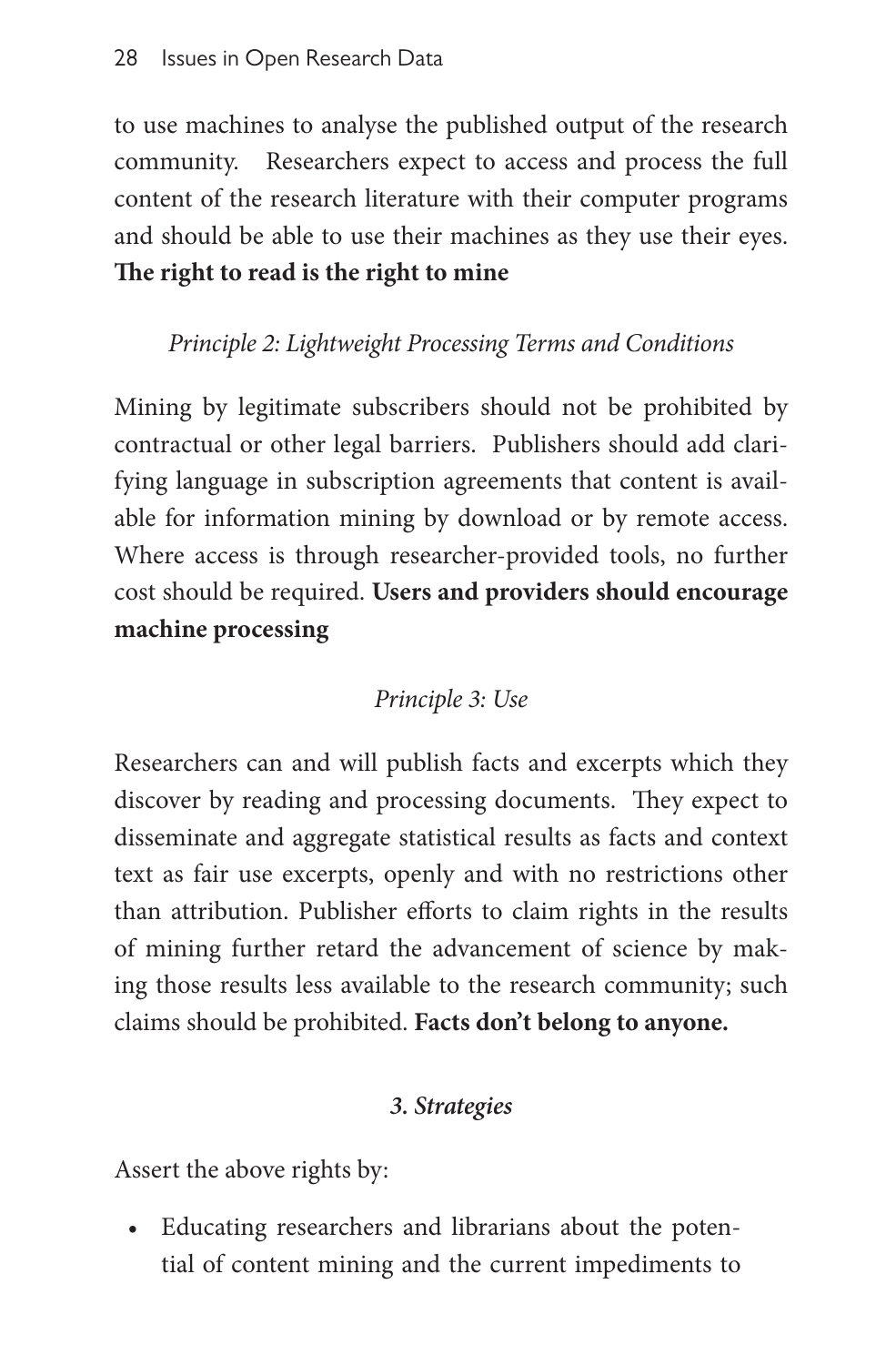to use machines to analyse the published output of the research community. Researchers expect to access and process the full content of the research literature with their computer programs and should be able to use their machines as they use their eyes. **The right to read is the right to mine**

# *Principle 2: Lightweight Processing Terms and Conditions*

Mining by legitimate subscribers should not be prohibited by contractual or other legal barriers. Publishers should add clarifying language in subscription agreements that content is available for information mining by download or by remote access. Where access is through researcher-provided tools, no further cost should be required. **Users and providers should encourage machine processing**

# *Principle 3: Use*

Researchers can and will publish facts and excerpts which they discover by reading and processing documents. They expect to disseminate and aggregate statistical results as facts and context text as fair use excerpts, openly and with no restrictions other than attribution. Publisher efforts to claim rights in the results of mining further retard the advancement of science by making those results less available to the research community; such claims should be prohibited. **Facts don't belong to anyone.**

## *3. Strategies*

Assert the above rights by:

• Educating researchers and librarians about the potential of content mining and the current impediments to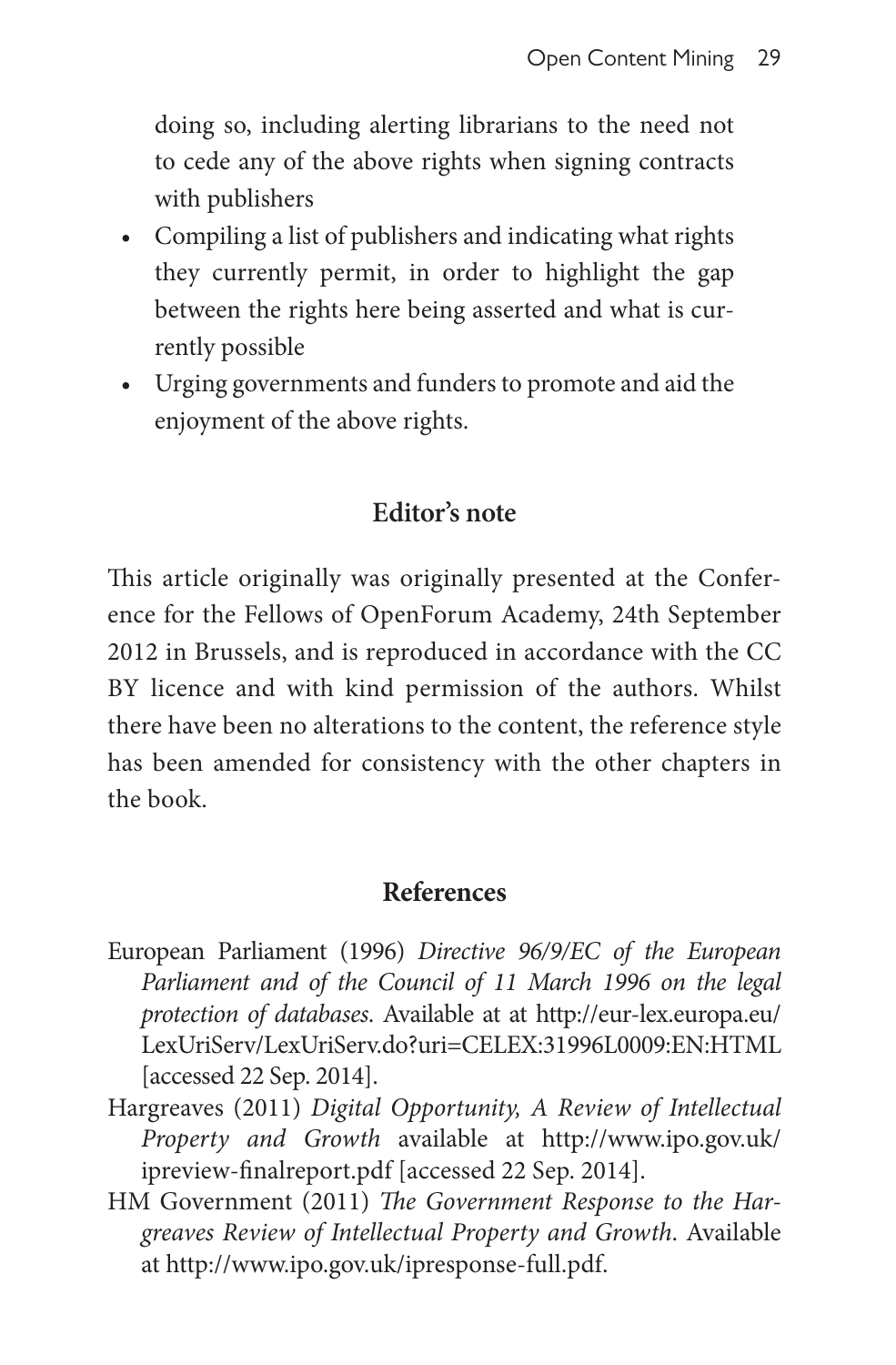doing so, including alerting librarians to the need not to cede any of the above rights when signing contracts with publishers

- Compiling a list of publishers and indicating what rights they currently permit, in order to highlight the gap between the rights here being asserted and what is currently possible
- Urging governments and funders to promote and aid the enjoyment of the above rights.

### **Editor's note**

This article originally was originally presented at the Conference for the Fellows of OpenForum Academy, 24th September 2012 in Brussels, and is reproduced in accordance with the CC BY licence and with kind permission of the authors. Whilst there have been no alterations to the content, the reference style has been amended for consistency with the other chapters in the book.

#### **References**

- European Parliament (1996) *Directive 96/9/EC of the European Parliament and of the Council of 11 March 1996 on the legal protection of databases*. Available at at [http://eur-lex.europa.eu/](http://eur-lex.europa.eu/LexUriServ/LexUriServ.do?uri=CELEX:31996L0009:EN:HTML) [LexUriServ/LexUriServ.do?uri=CELEX:31996L0009:EN:HTML](http://eur-lex.europa.eu/LexUriServ/LexUriServ.do?uri=CELEX:31996L0009:EN:HTML) [accessed 22 Sep. 2014].
- Hargreaves (2011) *Digital Opportunity, A Review of Intellectual Property and Growth* available at [http://www.ipo.gov.uk/](http://www.ipo.gov.uk/ipreview-finalreport.pdf) [ipreview-finalreport.pdf](http://www.ipo.gov.uk/ipreview-finalreport.pdf) [accessed 22 Sep. 2014].
- HM Government (2011) *The Government Response to the Hargreaves Review of Intellectual Property and Growth*. Available at <http://www.ipo.gov.uk/ipresponse-full.pdf>.